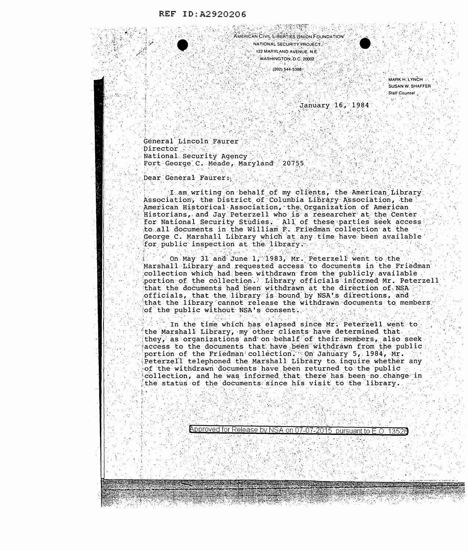PAUL LE LE CHARGES **AMERICAN CIVIL LIBERTIES UNION FOUNDATION** NATIONAL SECURITY PROJECT. 122 MARYLAND AVENUE, N.E. WASHINGTON, D.C. 20002

 $(202)$  544-5388

**MARK H. LYNCH** SUSAN W. SHAFFEF Staff Counsel

January 16, 1984

General Lincoln Faurer Director National Security Agency Fort George C. Meade, Maryland 20755

Dear General Faurer:

I am writing on behalf of my clients, the American Library Association, the District of Columbia Library Association, the American Historical Association, the Organization of American Historians, and Jay Peterzell who is a researcher at the Center for National Security Studies. All of these parties seek access to all documents in the William F. Friedman collection at the George C. Marshall Library which at any time have been available for public inspection at the library.

On May 31 and June 1, 1983, Mr. Peterzell went to the Marshall Library and requested access to documents in the Friedman collection which had been withdrawn from the publicly available portion of the collection. Library officials informed Mr. Peterzell that the documents had been withdrawn at the direction of NSA. officials, that the library is bound by NSA's directions, and that the library cannot release the withdrawn documents to members, of the public without NSA's consent.

In the time which has elapsed since Mr. Peterzell went to the Marshall Library, my other clients have determined that they, as organizations and on behalf of their members, also seek access to the documents that have been withdrawn from the public portion of the Friedman collection. On January 5, 1984, Mr. Peterzell telephoned the Marshall Library to inquire whether any of the withdrawn documents have been returned to the public collection, and he was informed that there has been no change in the status of the documents since his visit to the library.

Approved for Release by NSA on 07-07-2015 pursuant to E.O. 13526